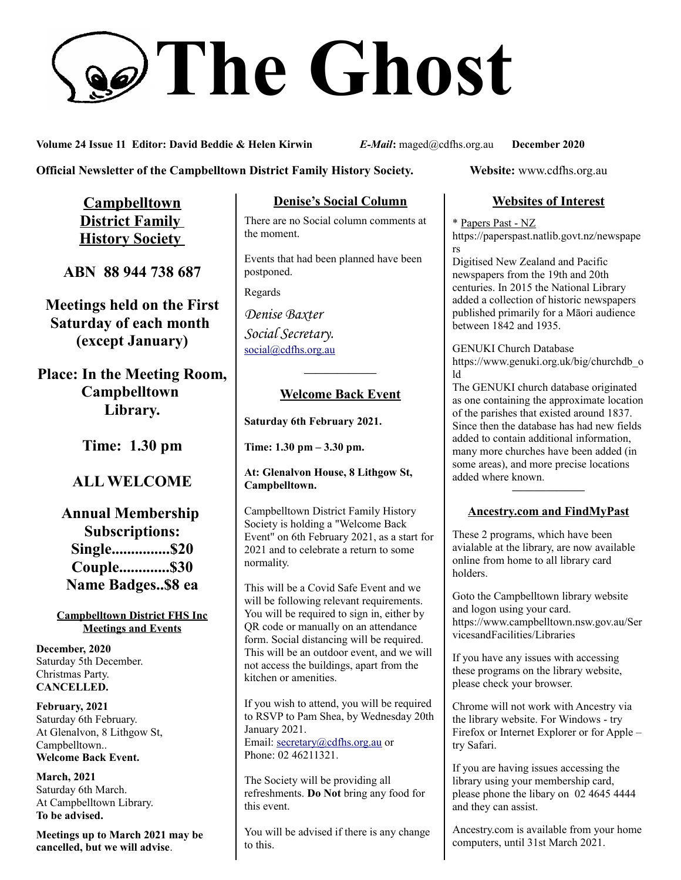# **The Ghost**

**Volume 24 Issue 11 Editor: David Beddie & Helen Kirwin** *E-Mail***:** maged@cdfhs.org.au **December 2020**

**Official Newsletter of the Campbelltown District Family History Society. Website: www.cdfhs.org.au** 

**Campbelltown District Family History Society** 

**ABN 88 944 738 687**

**Meetings held on the First Saturday of each month (except January)**

**Place: In the Meeting Room, Campbelltown Library.**

**Time: 1.30 pm**

# **ALL WELCOME**

**Annual Membership Subscriptions: Single...............\$20 Couple.............\$30 Name Badges..\$8 ea**

**Campbelltown District FHS Inc Meetings and Events**

**December, 2020** Saturday 5th December. Christmas Party. **CANCELLED.**

**February, 2021** Saturday 6th February. At Glenalvon, 8 Lithgow St, Campbelltown.. **Welcome Back Event.**

**March, 2021** Saturday 6th March. At Campbelltown Library. **To be advised.**

**Meetings up to March 2021 may be cancelled, but we will advise**.

## **Denise's Social Column**

There are no Social column comments at the moment.

Events that had been planned have been postponed.

Regards

*Denise Baxter Social Secretary.* [social@cdfhs.org.au](mailto:social@cdfhs.org.au)

## **——————– Welcome Back Event**

**Saturday 6th February 2021.**

**Time: 1.30 pm – 3.30 pm.**

#### **At: Glenalvon House, 8 Lithgow St, Campbelltown.**

Campbelltown District Family History Society is holding a "Welcome Back Event" on 6th February 2021, as a start for 2021 and to celebrate a return to some normality.

This will be a Covid Safe Event and we will be following relevant requirements. You will be required to sign in, either by QR code or manually on an attendance form. Social distancing will be required. This will be an outdoor event, and we will not access the buildings, apart from the kitchen or amenities.

If you wish to attend, you will be required to RSVP to Pam Shea, by Wednesday 20th January 2021. Email: [secretary@cdfhs.org.au](mailto:secretary@cdfhs.org.au) or Phone: 02 46211321.

The Society will be providing all refreshments. **Do Not** bring any food for this event.

You will be advised if there is any change to this.

## **Websites of Interest**

\* Papers Past - NZ https://paperspast.natlib.govt.nz/newspape rs

Digitised New Zealand and Pacific newspapers from the 19th and 20th centuries. In 2015 the National Library added a collection of historic newspapers published primarily for a Māori audience between 1842 and 1935.

GENUKI Church Database https://www.genuki.org.uk/big/churchdb\_o ld

The GENUKI church database originated as one containing the approximate location of the parishes that existed around 1837. Since then the database has had new fields added to contain additional information, many more churches have been added (in some areas), and more precise locations added where known.

## **——————– Ancestry.com and FindMyPast**

These 2 programs, which have been avialable at the library, are now available online from home to all library card holders.

Goto the Campbelltown library website and logon using your card. https://www.campbelltown.nsw.gov.au/Ser vicesandFacilities/Libraries

If you have any issues with accessing these programs on the library website, please check your browser.

Chrome will not work with Ancestry via the library website. For Windows - try Firefox or Internet Explorer or for Apple – try Safari.

If you are having issues accessing the library using your membership card, please phone the libary on 02 4645 4444 and they can assist.

Ancestry.com is available from your home computers, until 31st March 2021.